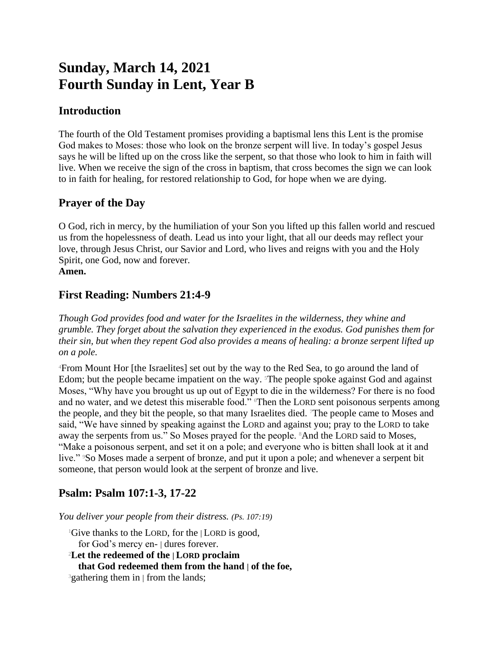# **Sunday, March 14, 2021 Fourth Sunday in Lent, Year B**

## **Introduction**

The fourth of the Old Testament promises providing a baptismal lens this Lent is the promise God makes to Moses: those who look on the bronze serpent will live. In today's gospel Jesus says he will be lifted up on the cross like the serpent, so that those who look to him in faith will live. When we receive the sign of the cross in baptism, that cross becomes the sign we can look to in faith for healing, for restored relationship to God, for hope when we are dying.

## **Prayer of the Day**

O God, rich in mercy, by the humiliation of your Son you lifted up this fallen world and rescued us from the hopelessness of death. Lead us into your light, that all our deeds may reflect your love, through Jesus Christ, our Savior and Lord, who lives and reigns with you and the Holy Spirit, one God, now and forever. **Amen.**

# **First Reading: Numbers 21:4-9**

*Though God provides food and water for the Israelites in the wilderness, they whine and grumble. They forget about the salvation they experienced in the exodus. God punishes them for their sin, but when they repent God also provides a means of healing: a bronze serpent lifted up on a pole.*

<sup>4</sup>From Mount Hor [the Israelites] set out by the way to the Red Sea, to go around the land of Edom; but the people became impatient on the way. The people spoke against God and against Moses, "Why have you brought us up out of Egypt to die in the wilderness? For there is no food and no water, and we detest this miserable food." Then the LORD sent poisonous serpents among the people, and they bit the people, so that many Israelites died. 7The people came to Moses and said, "We have sinned by speaking against the LORD and against you; pray to the LORD to take away the serpents from us." So Moses prayed for the people. 8And the LORD said to Moses, "Make a poisonous serpent, and set it on a pole; and everyone who is bitten shall look at it and live." <sup>9</sup>So Moses made a serpent of bronze, and put it upon a pole; and whenever a serpent bit someone, that person would look at the serpent of bronze and live.

# **Psalm: Psalm 107:1-3, 17-22**

*You deliver your people from their distress. (Ps. 107:19)*

<sup>1</sup>Give thanks to the LORD, for the | LORD is good, for God's mercy en- | dures forever. <sup>2</sup>**Let the redeemed of the | LORD proclaim that God redeemed them from the hand | of the foe,**

<sup>3</sup>gathering them in | from the lands;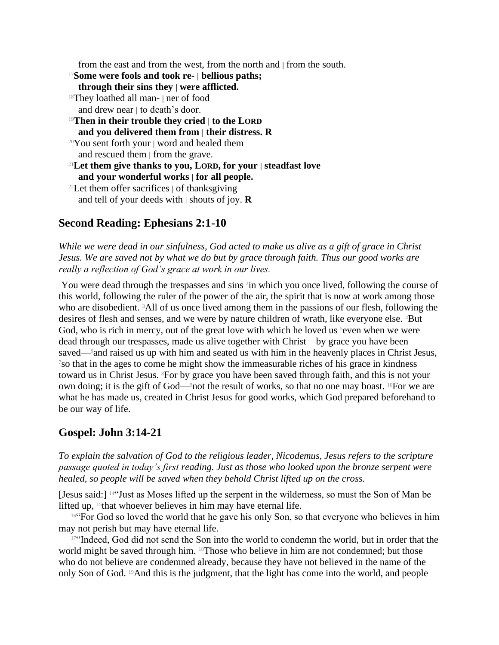from the east and from the west, from the north and  $\vert$  from the south.

<sup>17</sup>**Some were fools and took re- | bellious paths;**

- **through their sins they | were afflicted.**
- <sup>18</sup>They loathed all man- | ner of food and drew near | to death's door.
- <sup>19</sup>**Then in their trouble they cried | to the LORD and you delivered them from | their distress. R**
- <sup>20</sup>You sent forth your | word and healed them and rescued them | from the grave.
- <sup>21</sup>**Let them give thanks to you, LORD, for your | steadfast love and your wonderful works | for all people.**
- $22$ Let them offer sacrifices  $\vert$  of thanksgiving and tell of your deeds with | shouts of joy. **R**

## **Second Reading: Ephesians 2:1-10**

*While we were dead in our sinfulness, God acted to make us alive as a gift of grace in Christ Jesus. We are saved not by what we do but by grace through faith. Thus our good works are really a reflection of God's grace at work in our lives.*

<sup>1</sup>You were dead through the trespasses and sins <sup>2</sup> in which you once lived, following the course of this world, following the ruler of the power of the air, the spirit that is now at work among those who are disobedient. <sup>3</sup>All of us once lived among them in the passions of our flesh, following the desires of flesh and senses, and we were by nature children of wrath, like everyone else. <sup>4</sup>But God, who is rich in mercy, out of the great love with which he loved us  $\delta$ even when we were dead through our trespasses, made us alive together with Christ—by grace you have been saved—6and raised us up with him and seated us with him in the heavenly places in Christ Jesus, <sup>7</sup>so that in the ages to come he might show the immeasurable riches of his grace in kindness toward us in Christ Jesus. <sup>8</sup>For by grace you have been saved through faith, and this is not your own doing; it is the gift of God—9not the result of works, so that no one may boast. 10For we are what he has made us, created in Christ Jesus for good works, which God prepared beforehand to be our way of life.

#### **Gospel: John 3:14-21**

*To explain the salvation of God to the religious leader, Nicodemus, Jesus refers to the scripture passage quoted in today's first reading. Just as those who looked upon the bronze serpent were healed, so people will be saved when they behold Christ lifted up on the cross.*

[Jesus said:] 14"Just as Moses lifted up the serpent in the wilderness, so must the Son of Man be lifted up,  $15$ that whoever believes in him may have eternal life.

<sup>16"</sup>For God so loved the world that he gave his only Son, so that everyone who believes in him may not perish but may have eternal life.

<sup>17"</sup>Indeed, God did not send the Son into the world to condemn the world, but in order that the world might be saved through him. 18Those who believe in him are not condemned; but those who do not believe are condemned already, because they have not believed in the name of the only Son of God. 19And this is the judgment, that the light has come into the world, and people